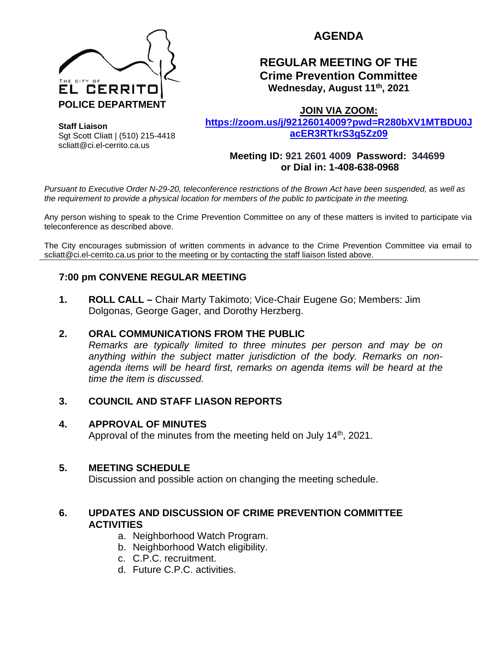

# **AGENDA**

## **REGULAR MEETING OF THE Crime Prevention Committee Wednesday, August 11th, 2021**

**Staff Liaison** Sgt Scott Cliatt | (510) 215-4418 scliatt@ci.el-cerrito.ca.us

**JOIN VIA ZOOM: [https://zoom.us/j/92126014009?pwd=R280bXV1MTBDU0J](https://zoom.us/j/92126014009?pwd=R280bXV1MTBDU0JacER3RTkrS3g5Zz09) [acER3RTkrS3g5Zz09](https://zoom.us/j/92126014009?pwd=R280bXV1MTBDU0JacER3RTkrS3g5Zz09)**

**Meeting ID: 921 2601 4009 Password: 344699**

**or Dial in: 1-408-638-0968** 

*Pursuant to Executive Order N-29-20, teleconference restrictions of the Brown Act have been suspended, as well as the requirement to provide a physical location for members of the public to participate in the meeting.*

Any person wishing to speak to the Crime Prevention Committee on any of these matters is invited to participate via teleconference as described above.

The City encourages submission of written comments in advance to the Crime Prevention Committee via email to scliatt@ci.el-cerrito.ca.us prior to the meeting or by contacting the staff liaison listed above.

## **7:00 pm CONVENE REGULAR MEETING**

**1. ROLL CALL –** Chair Marty Takimoto; Vice-Chair Eugene Go; Members: Jim Dolgonas, George Gager, and Dorothy Herzberg.

#### **2. ORAL COMMUNICATIONS FROM THE PUBLIC**

*Remarks are typically limited to three minutes per person and may be on anything within the subject matter jurisdiction of the body. Remarks on nonagenda items will be heard first, remarks on agenda items will be heard at the time the item is discussed.* 

#### **3. COUNCIL AND STAFF LIASON REPORTS**

#### **4. APPROVAL OF MINUTES**

Approval of the minutes from the meeting held on July 14th, 2021.

#### **5. MEETING SCHEDULE**

Discussion and possible action on changing the meeting schedule.

#### **6. UPDATES AND DISCUSSION OF CRIME PREVENTION COMMITTEE ACTIVITIES**

- a. Neighborhood Watch Program.
- b. Neighborhood Watch eligibility.
- c. C.P.C. recruitment.
- d. Future C.P.C. activities.